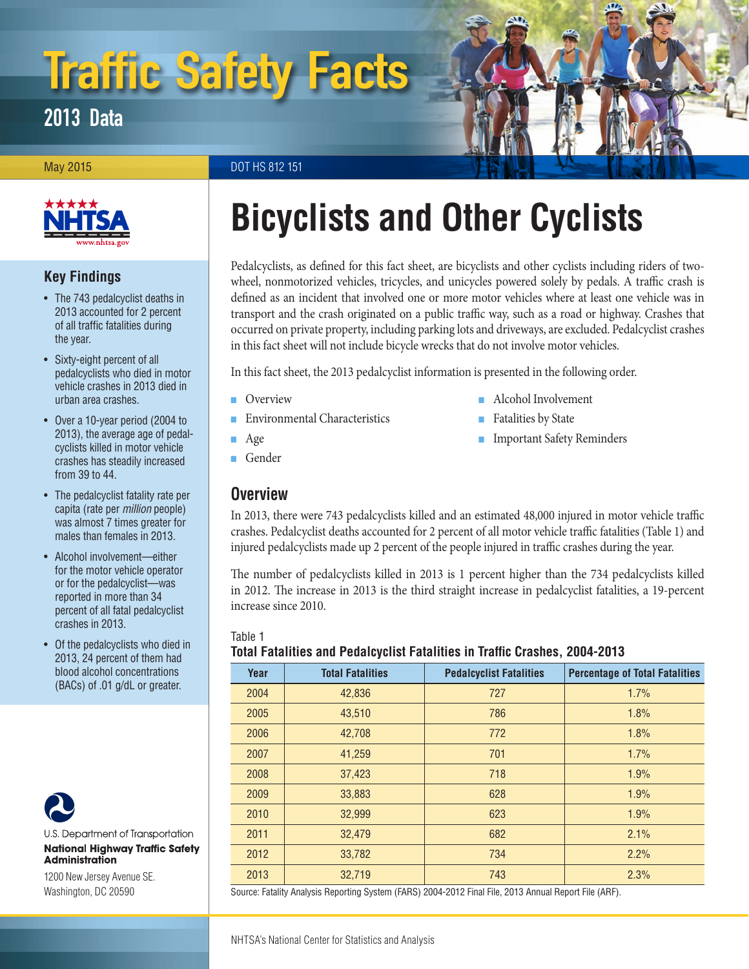# Traffic Safety Facts

2013 Data

May 2015 **DOT HS 812 151** 



# **Key Findings**

- The 743 pedalcyclist deaths in 2013 accounted for 2 percent of all traffic fatalities during the year.
- Sixty-eight percent of all pedalcyclists who died in motor vehicle crashes in 2013 died in urban area crashes.
- Over a 10-year period (2004 to 2013), the average age of pedalcyclists killed in motor vehicle crashes has steadily increased from 39 to 44.
- The pedalcyclist fatality rate per capita (rate per *million* people) was almost 7 times greater for males than females in 2013.
- Alcohol involvement—either for the motor vehicle operator or for the pedalcyclist—was reported in more than 34 percent of all fatal pedalcyclist crashes in 2013.
- Of the pedalcyclists who died in 2013, 24 percent of them had blood alcohol concentrations (BACs) of .01 g/dL or greater.



U.S. Department of Transportation **National Highway Traffic Safety Administration** 

1200 New Jersey Avenue SE. Washington, DC 20590

# **Bicyclists and Other Cyclists**

Pedalcyclists, as defined for this fact sheet, are bicyclists and other cyclists including riders of twowheel, nonmotorized vehicles, tricycles, and unicycles powered solely by pedals. A traffic crash is defined as an incident that involved one or more motor vehicles where at least one vehicle was in transport and the crash originated on a public traffic way, such as a road or highway. Crashes that occurred on private property, including parking lots and driveways, are excluded. Pedalcyclist crashes in this fact sheet will not include bicycle wrecks that do not involve motor vehicles.

In this fact sheet, the 2013 pedalcyclist information is presented in the following order.

■ [Overview](#page-0-0)

**[Environmental Characteristics](#page-1-0)** 

- [Alcohol Involvement](#page-3-1)
- [Fatalities by State](#page-3-2)
	- [Important Safety Reminders](#page-5-0)

■ [Age](#page-1-1) ■ [Gender](#page-3-0)

# <span id="page-0-0"></span>**Overview**

In 2013, there were 743 pedalcyclists killed and an estimated 48,000 injured in motor vehicle traffic crashes. Pedalcyclist deaths accounted for 2 percent of all motor vehicle traffic fatalities (Table 1) and injured pedalcyclists made up 2 percent of the people injured in traffic crashes during the year.

The number of pedalcyclists killed in 2013 is 1 percent higher than the 734 pedalcyclists killed in 2012. The increase in 2013 is the third straight increase in pedalcyclist fatalities, a 19-percent increase since 2010.

#### Table 1

#### **Total Fatalities and Pedalcyclist Fatalities in Traffic Crashes, 2004-2013**

| Year | <b>Total Fatalities</b> | <b>Pedalcyclist Fatalities</b> | <b>Percentage of Total Fatalities</b> |
|------|-------------------------|--------------------------------|---------------------------------------|
| 2004 | 42,836                  | 727                            | 1.7%                                  |
| 2005 | 43,510                  | 786                            | 1.8%                                  |
| 2006 | 42,708                  | 772                            | 1.8%                                  |
| 2007 | 41,259                  | 701                            | 1.7%                                  |
| 2008 | 37,423                  | 718                            | 1.9%                                  |
| 2009 | 33,883                  | 628                            | 1.9%                                  |
| 2010 | 32,999                  | 623                            | 1.9%                                  |
| 2011 | 32,479                  | 682                            | 2.1%                                  |
| 2012 | 33,782                  | 734                            | 2.2%                                  |
| 2013 | 32,719                  | 743                            | 2.3%                                  |

Source: Fatality Analysis Reporting System (FARS) 2004-2012 Final File, 2013 Annual Report File (ARF).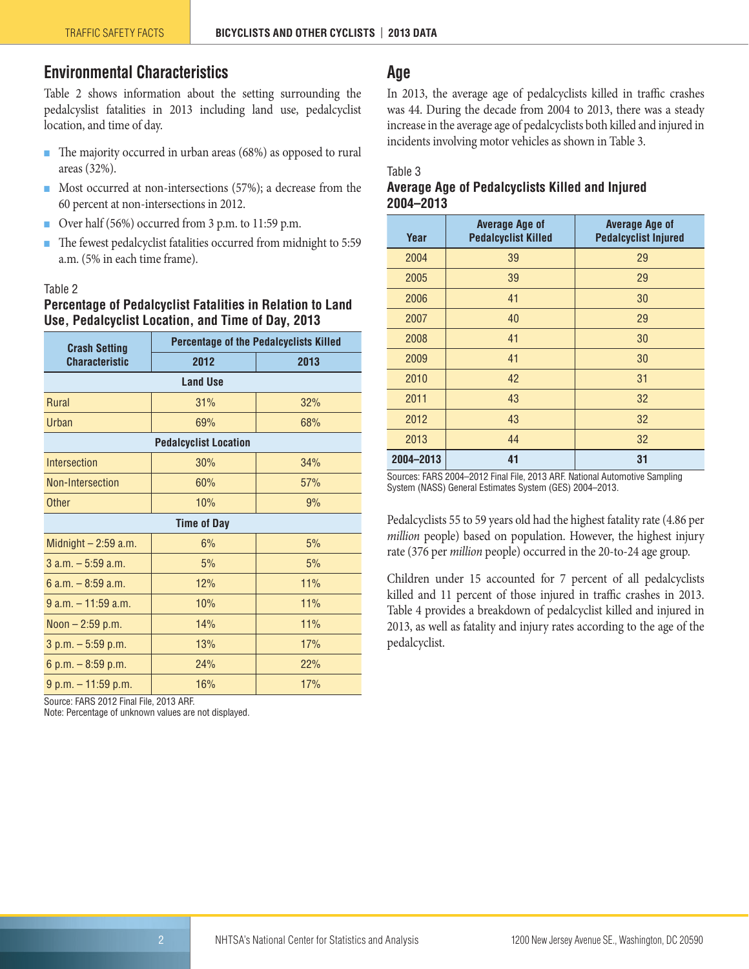# <span id="page-1-0"></span>**Environmental Characteristics**

Table 2 shows information about the setting surrounding the pedalcyslist fatalities in 2013 including land use, pedalcyclist location, and time of day.

- The majority occurred in urban areas (68%) as opposed to rural areas (32%).
- Most occurred at non-intersections (57%); a decrease from the 60 percent at non-intersections in 2012.
- Over half (56%) occurred from 3 p.m. to 11:59 p.m.
- The fewest pedalcyclist fatalities occurred from midnight to 5:59 a.m. (5% in each time frame).

#### Table 2

### **Percentage of Pedalcyclist Fatalities in Relation to Land Use, Pedalcyclist Location, and Time of Day, 2013**

| <b>Crash Setting</b>  | <b>Percentage of the Pedalcyclists Killed</b> |      |  |  |  |  |  |  |  |  |
|-----------------------|-----------------------------------------------|------|--|--|--|--|--|--|--|--|
| <b>Characteristic</b> | 2012                                          | 2013 |  |  |  |  |  |  |  |  |
|                       | <b>Land Use</b>                               |      |  |  |  |  |  |  |  |  |
| Rural                 | 31%                                           | 32%  |  |  |  |  |  |  |  |  |
| <b>Urban</b>          | 69%                                           | 68%  |  |  |  |  |  |  |  |  |
|                       | <b>Pedalcyclist Location</b>                  |      |  |  |  |  |  |  |  |  |
| Intersection          | 30%                                           | 34%  |  |  |  |  |  |  |  |  |
| Non-Intersection      | 60%                                           | 57%  |  |  |  |  |  |  |  |  |
| <b>Other</b>          | 10%                                           | 9%   |  |  |  |  |  |  |  |  |
|                       | <b>Time of Day</b>                            |      |  |  |  |  |  |  |  |  |
| Midnight $-2:59$ a.m. | 6%                                            | 5%   |  |  |  |  |  |  |  |  |
| $3$ a.m. $-5:59$ a.m. | 5%                                            | 5%   |  |  |  |  |  |  |  |  |
| 6 a.m. $-8:59$ a.m.   | 12%                                           | 11%  |  |  |  |  |  |  |  |  |
| $9 a.m. - 11:59 a.m.$ | 10%                                           | 11%  |  |  |  |  |  |  |  |  |
| Noon $-2:59$ p.m.     | 14%                                           | 11%  |  |  |  |  |  |  |  |  |
| $3 p.m. - 5:59 p.m.$  | 13%                                           | 17%  |  |  |  |  |  |  |  |  |
| 6 p.m. $-$ 8:59 p.m.  | 24%                                           | 22%  |  |  |  |  |  |  |  |  |
| $9 p.m. - 11:59 p.m.$ | 16%                                           | 17%  |  |  |  |  |  |  |  |  |

Source: FARS 2012 Final File, 2013 ARF.

Note: Percentage of unknown values are not displayed.

# <span id="page-1-1"></span>**Age**

In 2013, the average age of pedalcyclists killed in traffic crashes was 44. During the decade from 2004 to 2013, there was a steady increase in the average age of pedalcyclists both killed and injured in incidents involving motor vehicles as shown in Table 3.

#### Table 3

#### **Average Age of Pedalcyclists Killed and Injured 2004–2013**

| Year      | <b>Average Age of</b><br><b>Pedalcyclist Killed</b> | <b>Average Age of</b><br><b>Pedalcyclist Injured</b> |
|-----------|-----------------------------------------------------|------------------------------------------------------|
| 2004      | 39                                                  | 29                                                   |
| 2005      | 39                                                  | 29                                                   |
| 2006      | 41                                                  | 30                                                   |
| 2007      | 40                                                  | 29                                                   |
| 2008      | 41                                                  | 30                                                   |
| 2009      | 41                                                  | 30                                                   |
| 2010      | 42                                                  | 31                                                   |
| 2011      | 43                                                  | 32                                                   |
| 2012      | 43                                                  | 32                                                   |
| 2013      | 44                                                  | 32                                                   |
| 2004-2013 | 41                                                  | 31                                                   |

Sources: FARS 2004–2012 Final File, 2013 ARF. National Automotive Sampling System (NASS) General Estimates System (GES) 2004–2013.

Pedalcyclists 55 to 59 years old had the highest fatality rate (4.86 per *million* people) based on population. However, the highest injury rate (376 per *million* people) occurred in the 20-to-24 age group.

Children under 15 accounted for 7 percent of all pedalcyclists killed and 11 percent of those injured in traffic crashes in 2013. Table 4 provides a breakdown of pedalcyclist killed and injured in 2013, as well as fatality and injury rates according to the age of the pedalcyclist.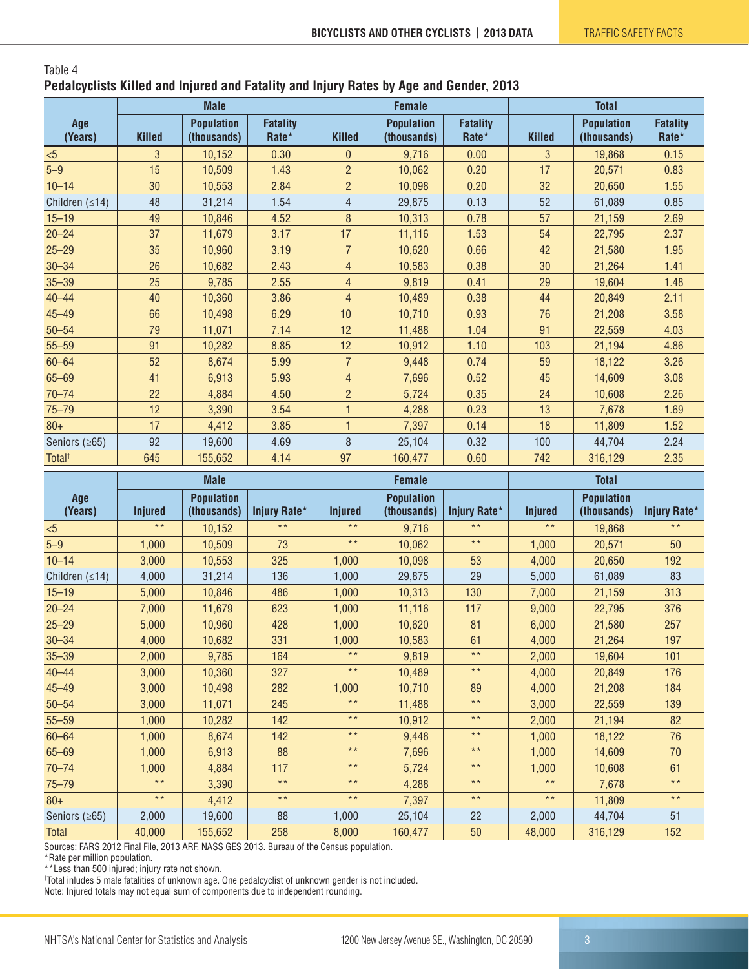#### Table 4 **Pedalcyclists Killed and Injured and Fatality and Injury Rates by Age and Gender, 2013**

|                      | <b>Male</b>   |                                  |                          | <b>Female</b>  |                                  |                          | <b>Total</b>  |                                  |                          |
|----------------------|---------------|----------------------------------|--------------------------|----------------|----------------------------------|--------------------------|---------------|----------------------------------|--------------------------|
| Age<br>(Years)       | <b>Killed</b> | <b>Population</b><br>(thousands) | <b>Fatality</b><br>Rate* | <b>Killed</b>  | <b>Population</b><br>(thousands) | <b>Fatality</b><br>Rate* | <b>Killed</b> | <b>Population</b><br>(thousands) | <b>Fatality</b><br>Rate* |
| < 5                  | 3             | 10,152                           | 0.30                     | $\overline{0}$ | 9,716                            | 0.00                     | 3             | 19,868                           | 0.15                     |
| $5 - 9$              | 15            | 10,509                           | 1.43                     | $\overline{2}$ | 10,062                           | 0.20                     | 17            | 20,571                           | 0.83                     |
| $10 - 14$            | 30            | 10,553                           | 2.84                     | $\overline{2}$ | 10,098                           | 0.20                     | 32            | 20,650                           | 1.55                     |
| Children $(\leq 14)$ | 48            | 31,214                           | 1.54                     | $\overline{4}$ | 29,875                           | 0.13                     | 52            | 61,089                           | 0.85                     |
| $15 - 19$            | 49            | 10,846                           | 4.52                     | $\, 8$         | 10,313                           | 0.78                     | 57            | 21,159                           | 2.69                     |
| $20 - 24$            | 37            | 11,679                           | 3.17                     | 17             | 11,116                           | 1.53                     | 54            | 22,795                           | 2.37                     |
| $25 - 29$            | 35            | 10,960                           | 3.19                     | $\overline{7}$ | 10,620                           | 0.66                     | 42            | 21,580                           | 1.95                     |
| $30 - 34$            | 26            | 10,682                           | 2.43                     | $\overline{4}$ | 10,583                           | 0.38                     | 30            | 21,264                           | 1.41                     |
| $35 - 39$            | 25            | 9,785                            | 2.55                     | $\overline{4}$ | 9,819                            | 0.41                     | 29            | 19,604                           | 1.48                     |
| $40 - 44$            | 40            | 10,360                           | 3.86                     | 4              | 10,489                           | 0.38                     | 44            | 20,849                           | 2.11                     |
| $45 - 49$            | 66            | 10,498                           | 6.29                     | 10             | 10,710                           | 0.93                     | 76            | 21,208                           | 3.58                     |
| $50 - 54$            | 79            | 11,071                           | 7.14                     | 12             | 11,488                           | 1.04                     | 91            | 22,559                           | 4.03                     |
| $55 - 59$            | 91            | 10,282                           | 8.85                     | 12             | 10,912                           | 1.10                     | 103           | 21,194                           | 4.86                     |
| $60 - 64$            | 52            | 8,674                            | 5.99                     | $\overline{7}$ | 9,448                            | 0.74                     | 59            | 18,122                           | 3.26                     |
| $65 - 69$            | 41            | 6,913                            | 5.93                     | 4              | 7,696                            | 0.52                     | 45            | 14,609                           | 3.08                     |
| $70 - 74$            | 22            | 4,884                            | 4.50                     | $\overline{2}$ | 5,724                            | 0.35                     | 24            | 10,608                           | 2.26                     |
| $75 - 79$            | 12            | 3,390                            | 3.54                     | $\mathbf{1}$   | 4,288                            | 0.23                     | 13            | 7,678                            | 1.69                     |
| $80+$                | 17            | 4,412                            | 3.85                     | $\mathbf{1}$   | 7,397                            | 0.14                     | 18            | 11,809                           | 1.52                     |
| Seniors $(≥65)$      | 92            | 19,600                           | 4.69                     | 8              | 25,104                           | 0.32                     | 100           | 44,704                           | 2.24                     |
| Total <sup>+</sup>   | 645           | 155,652                          | 4.14                     | 97             | 160,477                          | 0.60                     | 742           | 316,129                          | 2.35                     |

|                      | <b>Male</b>    |                                  |                     | <b>Female</b>   |                                  |                     | <b>Total</b>   |                                  |                     |
|----------------------|----------------|----------------------------------|---------------------|-----------------|----------------------------------|---------------------|----------------|----------------------------------|---------------------|
| Age<br>(Years)       | <b>Injured</b> | <b>Population</b><br>(thousands) | <b>Injury Rate*</b> | <b>Injured</b>  | <b>Population</b><br>(thousands) | <b>Injury Rate*</b> | <b>Injured</b> | <b>Population</b><br>(thousands) | <b>Injury Rate*</b> |
| < 5                  | $* *$          | 10,152                           | $\star\star$        | $\star\star$    | 9,716                            | $\star\star$        | $\star\star$   | 19,868                           | $\star \star$       |
| $5-9$                | 1,000          | 10,509                           | 73                  | $\star\star$    | 10,062                           | $\star\star$        | 1,000          | 20,571                           | 50                  |
| $10 - 14$            | 3,000          | 10,553                           | 325                 | 1,000           | 10,098                           | 53                  | 4,000          | 20,650                           | 192                 |
| Children $(\leq 14)$ | 4,000          | 31,214                           | 136                 | 1,000           | 29,875                           | 29                  | 5,000          | 61,089                           | 83                  |
| $15 - 19$            | 5,000          | 10,846                           | 486                 | 1,000           | 10,313                           | 130                 | 7,000          | 21,159                           | 313                 |
| $20 - 24$            | 7,000          | 11,679                           | 623                 | 1,000           | 11,116                           | 117                 | 9,000          | 22,795                           | 376                 |
| $25 - 29$            | 5,000          | 10,960                           | 428                 | 1,000           | 10,620                           | 81                  | 6,000          | 21,580                           | 257                 |
| $30 - 34$            | 4,000          | 10,682                           | 331                 | 1,000           | 10,583                           | 61                  | 4,000          | 21,264                           | 197                 |
| $35 - 39$            | 2,000          | 9,785                            | 164                 | $\star$ $\star$ | 9,819                            | $\star\star$        | 2,000          | 19,604                           | 101                 |
| $40 - 44$            | 3,000          | 10,360                           | 327                 | $\star\,\star$  | 10,489                           | $\star\star$        | 4,000          | 20,849                           | 176                 |
| $45 - 49$            | 3,000          | 10,498                           | 282                 | 1,000           | 10,710                           | 89                  | 4,000          | 21,208                           | 184                 |
| $50 - 54$            | 3,000          | 11,071                           | 245                 | $\star$ $\star$ | 11,488                           | $\star\star$        | 3,000          | 22,559                           | 139                 |
| $55 - 59$            | 1,000          | 10,282                           | 142                 | $\star$ $\star$ | 10,912                           | $\star \star$       | 2,000          | 21,194                           | 82                  |
| $60 - 64$            | 1,000          | 8,674                            | 142                 | $\star \star$   | 9,448                            | $\star\star$        | 1,000          | 18,122                           | 76                  |
| $65 - 69$            | 1,000          | 6,913                            | 88                  | $\star\star$    | 7,696                            | $\star\star$        | 1,000          | 14,609                           | 70                  |
| $70 - 74$            | 1,000          | 4,884                            | 117                 | $\star$ $\star$ | 5,724                            | $\star \star$       | 1,000          | 10,608                           | 61                  |
| $75 - 79$            | $* *$          | 3,390                            | $\star\star$        | $\star\star$    | 4,288                            | $\star\star$        | $\star\star$   | 7,678                            | $\star\,\star$      |
| $80+$                | $\star \star$  | 4,412                            | $\star\star$        | $\star$ $\star$ | 7,397                            | $\star \star$       | $\star\star$   | 11,809                           | $\star\,\star$      |
| Seniors $(≥65)$      | 2,000          | 19,600                           | 88                  | 1,000           | 25,104                           | 22                  | 2,000          | 44,704                           | 51                  |
| <b>Total</b>         | 40,000         | 155,652                          | 258                 | 8,000           | 160,477                          | 50                  | 48,000         | 316,129                          | 152                 |

Sources: FARS 2012 Final File, 2013 ARF. NASS GES 2013. Bureau of the Census population.

\*Rate per million population.

\*\*Less than 500 injured; injury rate not shown. † Total inludes 5 male fatalities of unknown age. One pedalcyclist of unknown gender is not included.

Note: Injured totals may not equal sum of components due to independent rounding.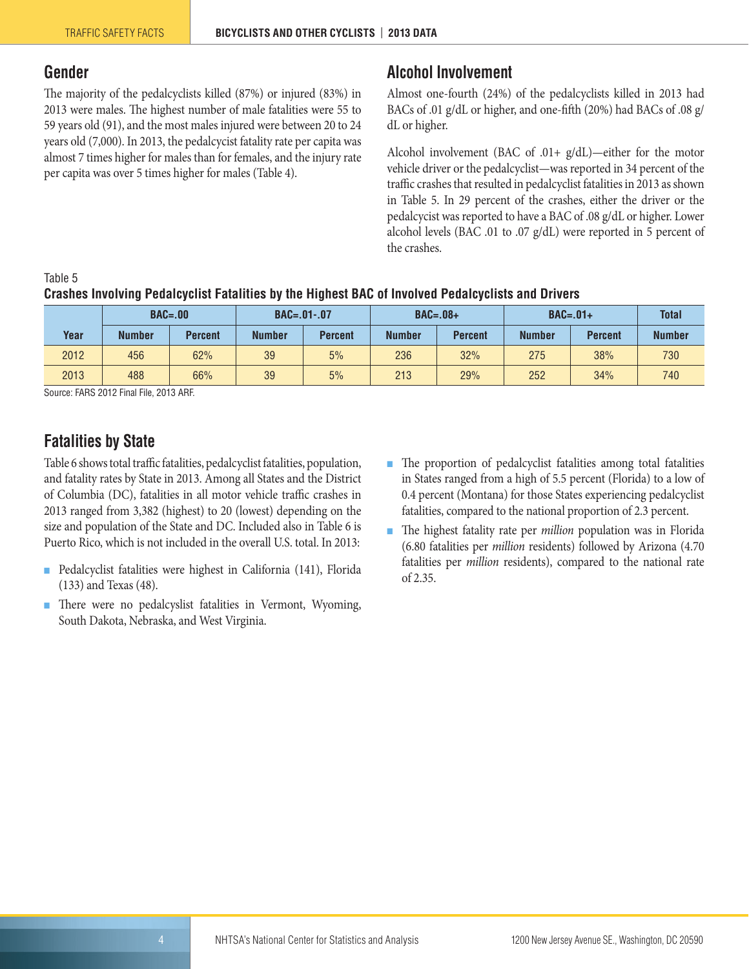## <span id="page-3-0"></span>**Gender**

The majority of the pedalcyclists killed (87%) or injured (83%) in 2013 were males. The highest number of male fatalities were 55 to 59 years old (91), and the most males injured were between 20 to 24 years old (7,000). In 2013, the pedalcycist fatality rate per capita was almost 7 times higher for males than for females, and the injury rate per capita was over 5 times higher for males (Table 4).

# <span id="page-3-1"></span>**Alcohol Involvement**

Almost one-fourth (24%) of the pedalcyclists killed in 2013 had BACs of .01 g/dL or higher, and one-fifth (20%) had BACs of .08 g/ dL or higher.

Alcohol involvement (BAC of .01+ g/dL)—either for the motor vehicle driver or the pedalcyclist—was reported in 34 percent of the traffic crashes that resulted in pedalcyclist fatalities in 2013 as shown in Table 5. In 29 percent of the crashes, either the driver or the pedalcycist was reported to have a BAC of .08 g/dL or higher. Lower alcohol levels (BAC .01 to .07 g/dL) were reported in 5 percent of the crashes.

#### Table 5

# **Crashes Involving Pedalcyclist Fatalities by the Highest BAC of Involved Pedalcyclists and Drivers**

|      | $BAC = .00$   |                | $BAC = .01-.07$ |                | $BAC=.08+$    |                | $BAC=.01+$    |                | <b>Total</b>  |
|------|---------------|----------------|-----------------|----------------|---------------|----------------|---------------|----------------|---------------|
| Year | <b>Number</b> | <b>Percent</b> | <b>Number</b>   | <b>Percent</b> | <b>Number</b> | <b>Percent</b> | <b>Number</b> | <b>Percent</b> | <b>Number</b> |
| 2012 | 456           | 62%            | 39              | 5%             | 236           | 32%            | 275           | 38%            | 730           |
| 2013 | 488           | 66%            | 39              | 5%             | 213           | 29%            | 252           | 34%            | 740           |

Source: FARS 2012 Final File, 2013 ARF.

# <span id="page-3-2"></span>**Fatalities by State**

Table 6 shows total traffic fatalities, pedalcyclist fatalities, population, and fatality rates by State in 2013. Among all States and the District of Columbia (DC), fatalities in all motor vehicle traffic crashes in 2013 ranged from 3,382 (highest) to 20 (lowest) depending on the size and population of the State and DC. Included also in Table 6 is Puerto Rico, which is not included in the overall U.S. total. In 2013:

- Pedalcyclist fatalities were highest in California (141), Florida (133) and Texas (48).
- There were no pedalcyslist fatalities in Vermont, Wyoming, South Dakota, Nebraska, and West Virginia.
- The proportion of pedalcyclist fatalities among total fatalities in States ranged from a high of 5.5 percent (Florida) to a low of 0.4 percent (Montana) for those States experiencing pedalcyclist fatalities, compared to the national proportion of 2.3 percent.
- The highest fatality rate per *million* population was in Florida (6.80 fatalities per *million* residents) followed by Arizona (4.70 fatalities per *million* residents), compared to the national rate of 2.35.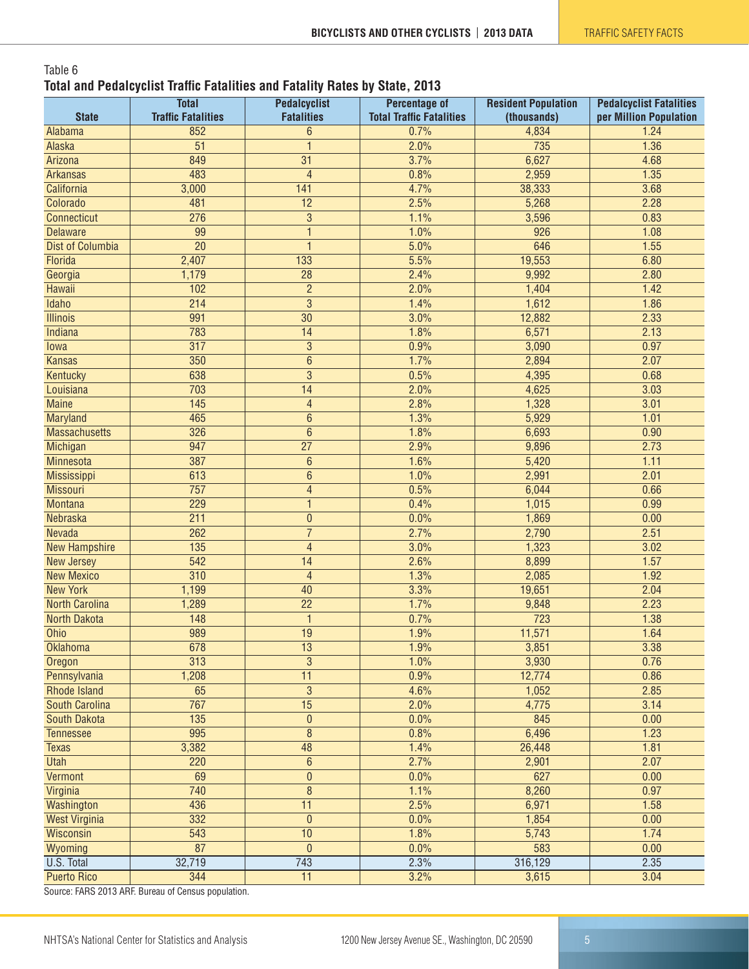#### Table 6 **Total and Pedalcyclist Traffic Fatalities and Fatality Rates by State, 2013**

| <b>State</b>                           | <b>Total</b><br><b>Traffic Fatalities</b> | <b>Pedalcyclist</b><br><b>Fatalities</b> | <b>Percentage of</b><br><b>Total Traffic Fatalities</b> | <b>Resident Population</b><br>(thousands) | <b>Pedalcyclist Fatalities</b><br>per Million Population |
|----------------------------------------|-------------------------------------------|------------------------------------------|---------------------------------------------------------|-------------------------------------------|----------------------------------------------------------|
| Alabama                                | 852                                       | 6                                        | 0.7%                                                    | 4,834                                     | 1.24                                                     |
| Alaska                                 | 51                                        | $\mathbf{1}$                             | 2.0%                                                    | 735                                       | 1.36                                                     |
| Arizona                                | 849                                       | 31                                       | 3.7%                                                    | 6,627                                     | 4.68                                                     |
| <b>Arkansas</b>                        | 483                                       | $\overline{4}$                           | 0.8%                                                    | 2,959                                     | 1.35                                                     |
| California                             | 3,000                                     | 141                                      | 4.7%                                                    | 38,333                                    | 3.68                                                     |
| Colorado                               | 481                                       | 12                                       | 2.5%                                                    | 5,268                                     | 2.28                                                     |
| <b>Connecticut</b>                     | 276                                       | $\overline{3}$                           | 1.1%                                                    | 3,596                                     | 0.83                                                     |
| <b>Delaware</b>                        | 99                                        | $\mathbf{1}$                             | 1.0%                                                    | 926                                       | 1.08                                                     |
| <b>Dist of Columbia</b>                | $\overline{20}$                           | $\mathbf{1}$                             | 5.0%                                                    | 646                                       | 1.55                                                     |
| Florida                                | 2,407                                     | 133                                      | 5.5%                                                    | 19,553                                    | 6.80                                                     |
|                                        | 1,179                                     | 28                                       | 2.4%                                                    | 9,992                                     | 2.80                                                     |
| Georgia<br>Hawaii                      | 102                                       | $\overline{2}$                           | 2.0%                                                    | 1,404                                     | 1.42                                                     |
| <b>Idaho</b>                           | $\overline{214}$                          | $\overline{3}$                           | 1.4%                                                    | 1,612                                     | 1.86                                                     |
| <b>Illinois</b>                        | 991                                       | $\overline{30}$                          |                                                         |                                           | 2.33                                                     |
|                                        | 783                                       | 14                                       | 3.0%                                                    | 12,882                                    | 2.13                                                     |
| Indiana                                |                                           |                                          | 1.8%                                                    | 6,571                                     |                                                          |
| Iowa                                   | $\overline{317}$                          | $\overline{3}$                           | 0.9%                                                    | 3,090                                     | 0.97                                                     |
| <b>Kansas</b>                          | $\overline{350}$                          | $\overline{6}$                           | 1.7%                                                    | 2,894                                     | 2.07                                                     |
| Kentucky                               | 638                                       | $\overline{3}$                           | 0.5%                                                    | 4,395                                     | 0.68                                                     |
| Louisiana                              | 703                                       | 14                                       | 2.0%                                                    | 4,625                                     | 3.03                                                     |
| <b>Maine</b>                           | $\overline{145}$                          | $\overline{4}$                           | 2.8%                                                    | 1,328                                     | 3.01                                                     |
| <b>Maryland</b>                        | 465                                       | $\overline{6}$                           | 1.3%                                                    | 5,929                                     | 1.01                                                     |
| <b>Massachusetts</b>                   | 326                                       | $\overline{6}$                           | 1.8%                                                    | 6,693                                     | 0.90                                                     |
| Michigan                               | 947                                       | $\overline{27}$                          | 2.9%                                                    | 9,896                                     | 2.73                                                     |
| Minnesota                              | 387                                       | $\boldsymbol{6}$                         | 1.6%                                                    | 5,420                                     | 1.11                                                     |
| Mississippi                            | 613                                       | $\overline{6}$                           | 1.0%                                                    | 2,991                                     | 2.01                                                     |
| <b>Missouri</b>                        | $\overline{757}$                          | $\overline{\mathcal{L}}$                 | 0.5%                                                    | 6,044                                     | 0.66                                                     |
| <b>Montana</b>                         | 229                                       | $\mathbf{1}$                             | 0.4%                                                    | 1,015                                     | 0.99                                                     |
| Nebraska                               | $\overline{211}$                          | $\pmb{0}$                                | 0.0%                                                    | 1,869                                     | 0.00                                                     |
| Nevada                                 | 262                                       | $\overline{7}$                           | 2.7%                                                    | 2,790                                     | 2.51                                                     |
| <b>New Hampshire</b>                   | 135                                       | $\overline{4}$                           | 3.0%                                                    | 1,323                                     | 3.02                                                     |
| New Jersey                             | $\overline{542}$                          | 14                                       | 2.6%                                                    | 8,899                                     | 1.57                                                     |
| <b>New Mexico</b>                      | 310                                       | $\overline{4}$                           | 1.3%                                                    | 2,085                                     | 1.92                                                     |
| <b>New York</b>                        | 1,199                                     | 40                                       | 3.3%                                                    | 19,651                                    | 2.04                                                     |
| <b>North Carolina</b>                  | 1,289                                     | $\overline{22}$                          | 1.7%                                                    | 9,848                                     | 2.23                                                     |
| <b>North Dakota</b>                    | 148                                       | $\mathbf{1}$                             | 0.7%                                                    | 723                                       | 1.38                                                     |
| Ohio                                   | 989                                       | 19                                       | 1.9%                                                    | 11,571                                    | 1.64                                                     |
| <b>Oklahoma</b>                        | 678                                       | 13                                       | 1.9%                                                    | 3,851                                     | 3.38                                                     |
| Oregon                                 | 313                                       | $\overline{3}$                           | 1.0%                                                    | 3,930                                     | 0.76                                                     |
| Pennsylvania                           | 1,208                                     | $\overline{11}$                          | 0.9%                                                    | 12,774                                    | 0.86                                                     |
| <b>Rhode Island</b>                    | 65                                        | $\overline{3}$                           | 4.6%                                                    | 1,052                                     | 2.85                                                     |
| <b>South Carolina</b>                  | 767                                       | $\overline{15}$                          | 2.0%                                                    | 4,775                                     | 3.14                                                     |
| <b>South Dakota</b>                    | $\overline{135}$                          | $\pmb{0}$                                | 0.0%                                                    | 845                                       | 0.00                                                     |
| <b>Tennessee</b>                       | 995                                       | $\overline{8}$                           | 0.8%                                                    | 6,496                                     | 1.23                                                     |
| <b>Texas</b>                           | 3,382                                     | 48                                       | 1.4%                                                    | 26,448                                    | 1.81                                                     |
| <b>Utah</b>                            | 220                                       | $\overline{6}$                           | 2.7%                                                    | 2,901                                     | 2.07                                                     |
| Vermont                                | 69                                        | $\overline{0}$                           | 0.0%                                                    | 627                                       | 0.00                                                     |
| Virginia                               | 740                                       | $\overline{8}$                           | 1.1%                                                    | 8,260                                     | 0.97                                                     |
| Washington                             | 436                                       | $\overline{11}$                          | 2.5%                                                    | 6,971                                     | 1.58                                                     |
| <b>West Virginia</b>                   | 332                                       | $\pmb{0}$                                | 0.0%                                                    | 1,854                                     | 0.00                                                     |
| Wisconsin                              | 543                                       | 10                                       | 1.8%                                                    | 5,743                                     | 1.74                                                     |
| Wyoming                                | 87                                        | $\mathbf{0}$                             | 0.0%                                                    | 583                                       | 0.00                                                     |
| U.S. Total                             | 32,719                                    | 743                                      | 2.3%                                                    | 316,129                                   | 2.35                                                     |
| <b>Puerto Rico</b>                     | 344                                       | $\overline{11}$                          | 3.2%                                                    | 3,615                                     | 3.04                                                     |
| Course: FADO 0019 ADE Durasu of Course |                                           |                                          |                                                         |                                           |                                                          |

Source: FARS 2013 ARF. Bureau of Census population.